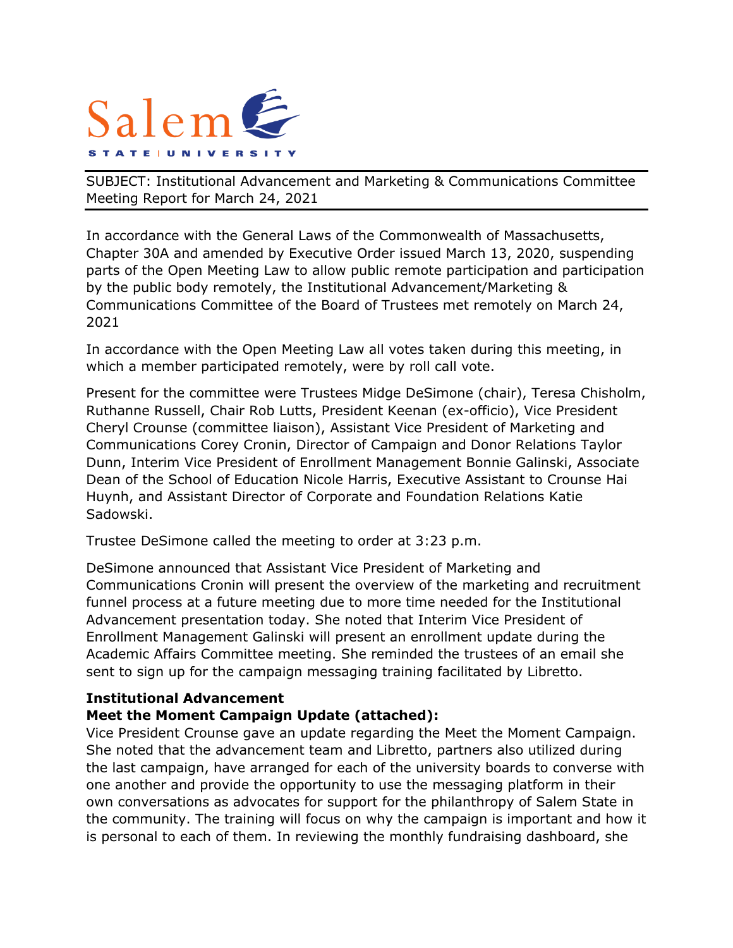

SUBJECT: Institutional Advancement and Marketing & Communications Committee Meeting Report for March 24, 2021

In accordance with the General Laws of the Commonwealth of Massachusetts, Chapter 30A and amended by Executive Order issued March 13, 2020, suspending parts of the Open Meeting Law to allow public remote participation and participation by the public body remotely, the Institutional Advancement/Marketing & Communications Committee of the Board of Trustees met remotely on March 24, 2021

In accordance with the Open Meeting Law all votes taken during this meeting, in which a member participated remotely, were by roll call vote.

Present for the committee were Trustees Midge DeSimone (chair), Teresa Chisholm, Ruthanne Russell, Chair Rob Lutts, President Keenan (ex-officio), Vice President Cheryl Crounse (committee liaison), Assistant Vice President of Marketing and Communications Corey Cronin, Director of Campaign and Donor Relations Taylor Dunn, Interim Vice President of Enrollment Management Bonnie Galinski, Associate Dean of the School of Education Nicole Harris, Executive Assistant to Crounse Hai Huynh, and Assistant Director of Corporate and Foundation Relations Katie Sadowski.

Trustee DeSimone called the meeting to order at 3:23 p.m.

DeSimone announced that Assistant Vice President of Marketing and Communications Cronin will present the overview of the marketing and recruitment funnel process at a future meeting due to more time needed for the Institutional Advancement presentation today. She noted that Interim Vice President of Enrollment Management Galinski will present an enrollment update during the Academic Affairs Committee meeting. She reminded the trustees of an email she sent to sign up for the campaign messaging training facilitated by Libretto.

## **Institutional Advancement**

## **Meet the Moment Campaign Update (attached):**

Vice President Crounse gave an update regarding the Meet the Moment Campaign. She noted that the advancement team and Libretto, partners also utilized during the last campaign, have arranged for each of the university boards to converse with one another and provide the opportunity to use the messaging platform in their own conversations as advocates for support for the philanthropy of Salem State in the community. The training will focus on why the campaign is important and how it is personal to each of them. In reviewing the monthly fundraising dashboard, she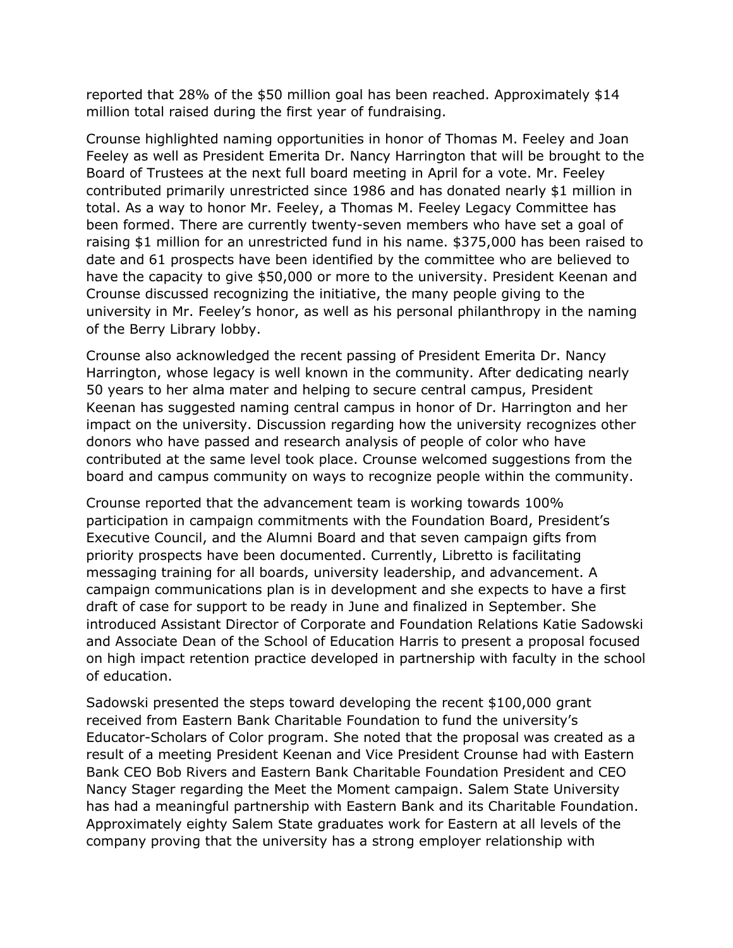reported that 28% of the \$50 million goal has been reached. Approximately \$14 million total raised during the first year of fundraising.

Crounse highlighted naming opportunities in honor of Thomas M. Feeley and Joan Feeley as well as President Emerita Dr. Nancy Harrington that will be brought to the Board of Trustees at the next full board meeting in April for a vote. Mr. Feeley contributed primarily unrestricted since 1986 and has donated nearly \$1 million in total. As a way to honor Mr. Feeley, a Thomas M. Feeley Legacy Committee has been formed. There are currently twenty-seven members who have set a goal of raising \$1 million for an unrestricted fund in his name. \$375,000 has been raised to date and 61 prospects have been identified by the committee who are believed to have the capacity to give \$50,000 or more to the university. President Keenan and Crounse discussed recognizing the initiative, the many people giving to the university in Mr. Feeley's honor, as well as his personal philanthropy in the naming of the Berry Library lobby.

Crounse also acknowledged the recent passing of President Emerita Dr. Nancy Harrington, whose legacy is well known in the community. After dedicating nearly 50 years to her alma mater and helping to secure central campus, President Keenan has suggested naming central campus in honor of Dr. Harrington and her impact on the university. Discussion regarding how the university recognizes other donors who have passed and research analysis of people of color who have contributed at the same level took place. Crounse welcomed suggestions from the board and campus community on ways to recognize people within the community.

Crounse reported that the advancement team is working towards 100% participation in campaign commitments with the Foundation Board, President's Executive Council, and the Alumni Board and that seven campaign gifts from priority prospects have been documented. Currently, Libretto is facilitating messaging training for all boards, university leadership, and advancement. A campaign communications plan is in development and she expects to have a first draft of case for support to be ready in June and finalized in September. She introduced Assistant Director of Corporate and Foundation Relations Katie Sadowski and Associate Dean of the School of Education Harris to present a proposal focused on high impact retention practice developed in partnership with faculty in the school of education.

Sadowski presented the steps toward developing the recent \$100,000 grant received from Eastern Bank Charitable Foundation to fund the university's Educator-Scholars of Color program. She noted that the proposal was created as a result of a meeting President Keenan and Vice President Crounse had with Eastern Bank CEO Bob Rivers and Eastern Bank Charitable Foundation President and CEO Nancy Stager regarding the Meet the Moment campaign. Salem State University has had a meaningful partnership with Eastern Bank and its Charitable Foundation. Approximately eighty Salem State graduates work for Eastern at all levels of the company proving that the university has a strong employer relationship with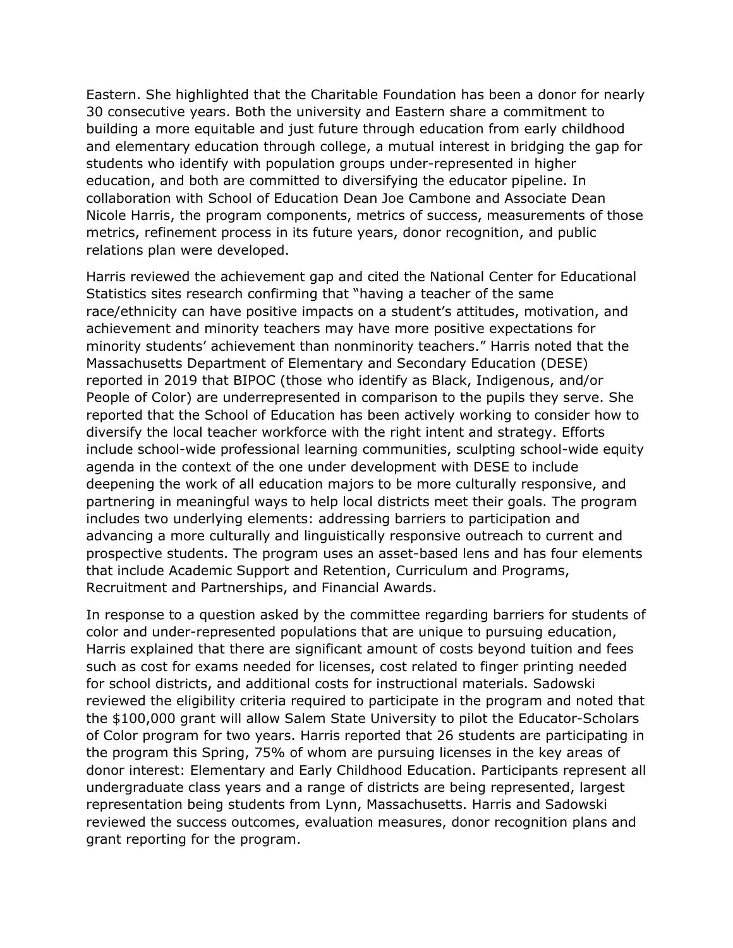Eastern. She highlighted that the Charitable Foundation has been a donor for nearly 30 consecutive years. Both the university and Eastern share a commitment to building a more equitable and just future through education from early childhood and elementary education through college, a mutual interest in bridging the gap for students who identify with population groups under-represented in higher education, and both are committed to diversifying the educator pipeline. In collaboration with School of Education Dean Joe Cambone and Associate Dean Nicole Harris, the program components, metrics of success, measurements of those metrics, refinement process in its future years, donor recognition, and public relations plan were developed.

Harris reviewed the achievement gap and cited the National Center for Educational Statistics sites research confirming that "having a teacher of the same race/ethnicity can have positive impacts on a student's attitudes, motivation, and achievement and minority teachers may have more positive expectations for minority students' achievement than nonminority teachers." Harris noted that the Massachusetts Department of Elementary and Secondary Education (DESE) reported in 2019 that BIPOC (those who identify as Black, Indigenous, and/or People of Color) are underrepresented in comparison to the pupils they serve. She reported that the School of Education has been actively working to consider how to diversify the local teacher workforce with the right intent and strategy. Efforts include school-wide professional learning communities, sculpting school-wide equity agenda in the context of the one under development with DESE to include deepening the work of all education majors to be more culturally responsive, and partnering in meaningful ways to help local districts meet their goals. The program includes two underlying elements: addressing barriers to participation and advancing a more culturally and linguistically responsive outreach to current and prospective students. The program uses an asset-based lens and has four elements that include Academic Support and Retention, Curriculum and Programs, Recruitment and Partnerships, and Financial Awards.

In response to a question asked by the committee regarding barriers for students of color and under-represented populations that are unique to pursuing education, Harris explained that there are significant amount of costs beyond tuition and fees such as cost for exams needed for licenses, cost related to finger printing needed for school districts, and additional costs for instructional materials. Sadowski reviewed the eligibility criteria required to participate in the program and noted that the \$100,000 grant will allow Salem State University to pilot the Educator-Scholars of Color program for two years. Harris reported that 26 students are participating in the program this Spring, 75% of whom are pursuing licenses in the key areas of donor interest: Elementary and Early Childhood Education. Participants represent all undergraduate class years and a range of districts are being represented, largest representation being students from Lynn, Massachusetts. Harris and Sadowski reviewed the success outcomes, evaluation measures, donor recognition plans and grant reporting for the program.